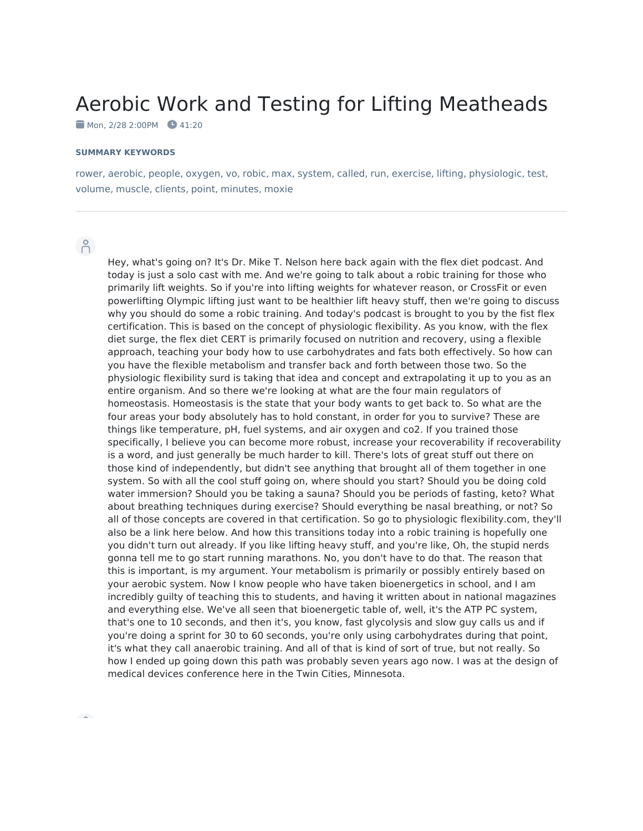# Aerobic Work and Testing for Lifting Meatheads

 $\blacksquare$  Mon, 2/28 2:00PM  $\blacksquare$  41:20

#### **SUMMARY KEYWORDS**

rower, aerobic, people, oxygen, vo, robic, max, system, called, run, exercise, lifting, physiologic, test, volume, muscle, clients, point, minutes, moxie

 $\beta$ 

Hey, what's going on? It's Dr. Mike T. Nelson here back again with the flex diet podcast. And today is just a solo cast with me. And we're going to talk about a robic training for those who primarily lift weights. So if you're into lifting weights for whatever reason, or CrossFit or even powerlifting Olympic lifting just want to be healthier lift heavy stuff, then we're going to discuss why you should do some a robic training. And today's podcast is brought to you by the fist flex certification. This is based on the concept of physiologic flexibility. As you know, with the flex diet surge, the flex diet CERT is primarily focused on nutrition and recovery, using a flexible approach, teaching your body how to use carbohydrates and fats both effectively. So how can you have the flexible metabolism and transfer back and forth between those two. So the physiologic flexibility surd is taking that idea and concept and extrapolating it up to you as an entire organism. And so there we're looking at what are the four main regulators of homeostasis. Homeostasis is the state that your body wants to get back to. So what are the four areas your body absolutely has to hold constant, in order for you to survive? These are things like temperature, pH, fuel systems, and air oxygen and co2. If you trained those specifically, I believe you can become more robust, increase your recoverability if recoverability is a word, and just generally be much harder to kill. There's lots of great stuff out there on those kind of independently, but didn't see anything that brought all of them together in one system. So with all the cool stuff going on, where should you start? Should you be doing cold water immersion? Should you be taking a sauna? Should you be periods of fasting, keto? What about breathing techniques during exercise? Should everything be nasal breathing, or not? So all of those concepts are covered in that certification. So go to physiologic flexibility.com, they'll also be a link here below. And how this transitions today into a robic training is hopefully one you didn't turn out already. If you like lifting heavy stuff, and you're like, Oh, the stupid nerds gonna tell me to go start running marathons. No, you don't have to do that. The reason that this is important, is my argument. Your metabolism is primarily or possibly entirely based on your aerobic system. Now Iknow people who have taken bioenergetics in school, and I am incredibly guilty of teaching this to students, and having it written about in national magazines and everything else. We've all seen that bioenergetic table of, well, it's the ATP PC system, that's one to 10 seconds, and then it's, you know, fast glycolysis and slow guy calls us and if you're doing a sprint for 30 to 60 seconds, you're only using carbohydrates during that point, it's what they call anaerobic training. And all of that is kind of sort of true, but not really. So how I ended up going down this path was probably seven years ago now. I was at the design of medical devices conference here in the Twin Cities, Minnesota.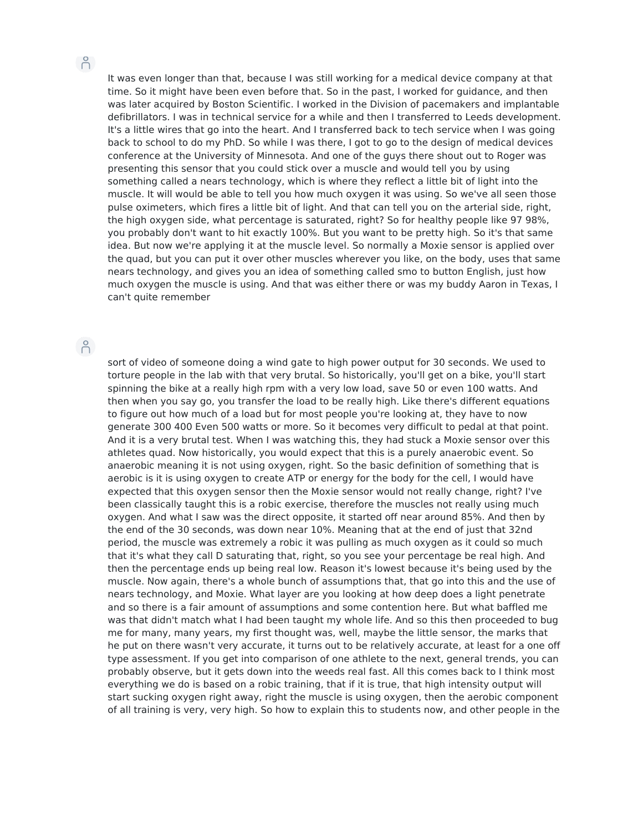It was even longer than that, because I was still working for a medical device company at that time. So it might have been even before that. So in the past, I worked for guidance, and then was later acquired by Boston Scientific. I worked in the Division of pacemakers and implantable defibrillators. I was in technical service for a while and then I transferred to Leeds development. It's a little wires that go into the heart. And I transferred back to tech service when I was going back to school to do my PhD. So while I was there, I got to go to the design of medical devices conference at the University of Minnesota. And one of the guys there shout out to Roger was presenting this sensor that you could stick over a muscle and would tell you by using something called a nears technology, which is where they reflect a little bit of light into the muscle. It will would be able to tell you how much oxygen it was using. So we've all seen those pulse oximeters, which fires a little bit of light. And that can tell you on the arterial side, right, the high oxygen side, what percentage is saturated, right? So for healthy people like 97 98%, you probably don't want to hit exactly 100%. But you want to be pretty high. So it's that same idea. But now we're applying it at the muscle level. So normally a Moxie sensor is applied over the quad, but you can put it over other muscles wherever you like, on the body, uses that same nears technology, and gives you an idea of something called smo to button English, just how much oxygen the muscle is using. And that was either there or was my buddy Aaron in Texas, I can't quite remember

## $\beta$

 $\bigcap^{\circ}$ 

sort of video of someone doing a wind gate to high power output for 30 seconds. We used to torture people in the lab with that very brutal. So historically, you'll get on a bike, you'll start spinning the bike at a really high rpm with a very low load, save 50 or even 100 watts. And then when you say go, you transfer the load to be really high. Like there's different equations to figure out how much of a load but for most people you're looking at, they have to now generate 300 400 Even 500 watts or more. So it becomes very difficult to pedal at that point. And it is a very brutal test. When I was watching this, they had stuck a Moxie sensor over this athletes quad. Now historically, you would expect that this is a purely anaerobic event. So anaerobic meaning it is not using oxygen, right. So the basic definition of something that is aerobic is it is using oxygen to create ATP or energy for the body for the cell, I would have expected that this oxygen sensor then the Moxie sensor would not really change, right? I've been classically taught this is a robic exercise, therefore the muscles not really using much oxygen. And what I saw was the direct opposite, it started off near around 85%. And then by the end of the 30 seconds, was down near 10%. Meaning that at the end of just that 32nd period, the muscle was extremely a robic it was pulling as much oxygen as it could so much that it's what they call D saturating that, right, so you see your percentage be real high. And then the percentage ends up being real low. Reason it's lowest because it's being used by the muscle. Now again, there's a whole bunch of assumptions that, that go into this and the use of nears technology, and Moxie. What layer are you looking at how deep does a light penetrate and so there is a fair amount of assumptions and some contention here. But what baffled me was that didn't match what I had been taught my whole life. And so this then proceeded to bug me for many, many years, my first thought was, well, maybe the little sensor, the marks that he put on there wasn't very accurate, it turns out to be relatively accurate, at least for a one off type assessment. If you get into comparison of one athlete to the next, general trends, you can probably observe, but it gets down into the weeds real fast. All this comes back to I think most everything we do is based on a robic training, that if it is true, that high intensity output will start sucking oxygen right away, right the muscle is using oxygen, then the aerobic component of all training is very, very high. So how to explain this to students now, and other people in the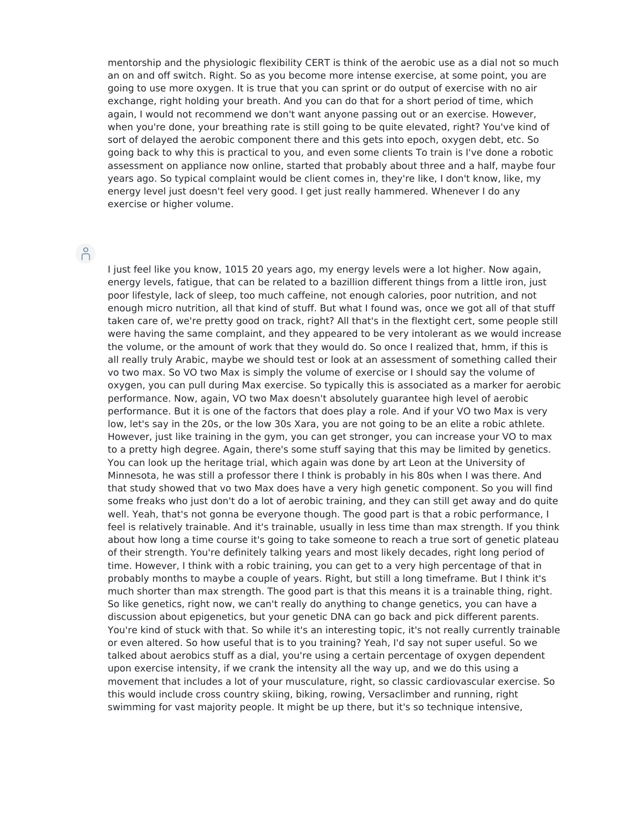mentorship and the physiologic flexibility CERT is think of the aerobic use as a dial not so much an on and off switch. Right. So as you become more intense exercise, at some point, you are going to use more oxygen. It is true that you can sprint or do output of exercise with no air exchange, right holding your breath. And you can do that for a short period of time, which again, I would not recommend we don't want anyone passing out or an exercise. However, when you're done, your breathing rate is still going to be quite elevated, right? You've kind of sort of delayed the aerobic component there and this gets into epoch, oxygen debt, etc. So going back to why this is practical to you, and even some clients To train is I've done a robotic assessment on appliance now online, started that probably about three and a half, maybe four years ago. So typical complaint would be client comes in, they're like, I don't know, like, my energy level just doesn't feel very good. I get just really hammered. Whenever I do any exercise or higher volume.

### $\beta$

I just feel like you know, 1015 20 years ago, my energy levels were a lot higher. Now again, energy levels, fatigue, that can be related to a bazillion different things from a little iron, just poor lifestyle, lack of sleep, too much caffeine, not enough calories, poor nutrition, and not enough micro nutrition, all that kind of stuff. But what I found was, once we got all of that stuff taken care of, we're pretty good on track, right? All that's in the flextight cert, some people still were having the same complaint, and they appeared to be very intolerant as we would increase the volume, or the amount of work that they would do. So once I realized that, hmm, if this is all really truly Arabic, maybe we should test or look at an assessment of something called their vo two max. So VO two Max is simply the volume of exercise or I should say the volume of oxygen, you can pull during Max exercise. So typically this is associated as a marker for aerobic performance. Now, again, VO two Max doesn't absolutely guarantee high level of aerobic performance. But it is one of the factors that does play a role. And if your VO two Max is very low, let's say in the 20s, or the low 30s Xara, you are not going to be an elite a robic athlete. However, just like training in the gym, you can get stronger, you can increase your VO to max to a pretty high degree. Again, there's some stuff saying that this may be limited by genetics. You can look up the heritage trial, which again was done by art Leon at the University of Minnesota, he was still a professor there I think is probably in his 80s when I was there. And that study showed that vo two Max does have a very high genetic component. So you will find some freaks who just don't do a lot of aerobic training, and they can still get away and do quite well. Yeah, that's not gonna be everyone though. The good part is that a robic performance, I feel is relatively trainable. And it's trainable, usually in less time than max strength. If you think about how long a time course it's going to take someone to reach a true sort of genetic plateau of their strength. You're definitely talking years and most likely decades, right long period of time. However, I think with a robic training, you can get to a very high percentage of that in probably months to maybe a couple of years. Right, but still a long timeframe. But I think it's much shorter than max strength. The good part is that this means it is a trainable thing, right. So like genetics, right now, we can't really do anything to change genetics, you can have a discussion about epigenetics, but your genetic DNA can go back and pick different parents. You're kind of stuck with that. So while it's an interesting topic, it's not really currently trainable or even altered. So how useful that is to you training? Yeah, I'd say not super useful. So we talked about aerobics stuff as a dial, you're using a certain percentage of oxygen dependent upon exercise intensity, if we crank the intensity all the way up, and we do this using a movement that includes a lot of your musculature, right, so classic cardiovascular exercise. So this would include cross country skiing, biking, rowing, Versaclimber and running, right swimming for vast majority people. It might be up there, but it's so technique intensive,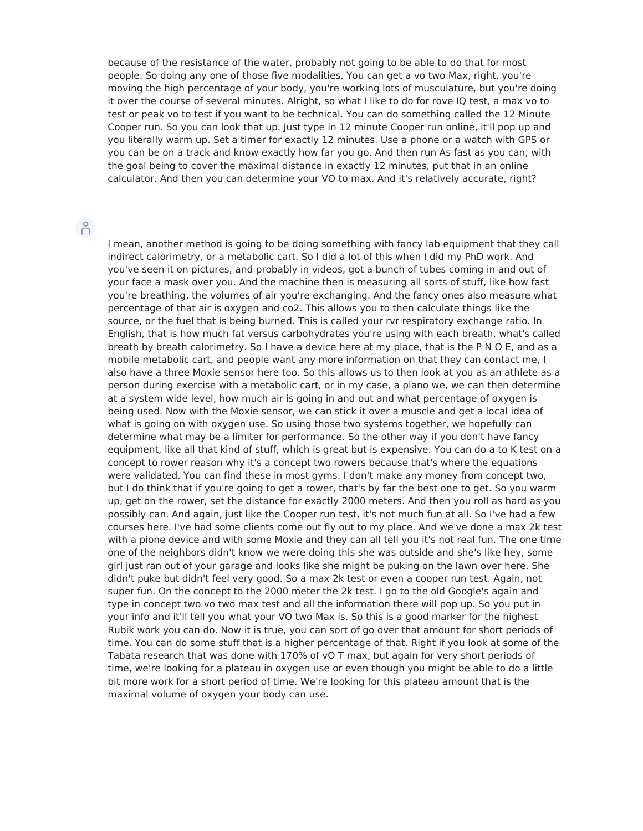because of the resistance of the water, probably not going to be able to do that for most people. So doing any one of those five modalities. You can get a vo two Max, right, you're moving the high percentage of your body, you're working lots of musculature, but you're doing it over the course of several minutes. Alright, so what I like to do for rove IQ test, a max vo to test or peak vo to test if you want to be technical. You can do something called the 12 Minute Cooper run. So you can look that up. Just type in 12 minute Cooper run online, it'll pop up and you literally warm up. Set a timer for exactly 12 minutes. Use a phone or a watch with GPS or you can be on a track and know exactly how far you go. And then run As fast as you can, with the goal being to cover the maximal distance in exactly 12 minutes, put that in an online calculator. And then you can determine your VO to max. And it's relatively accurate, right?

 $\beta$ 

I mean, another method is going to be doing something with fancy lab equipment that they call indirect calorimetry, or a metabolic cart. So I did a lot of this when I did my PhD work. And you've seen it on pictures, and probably in videos, got a bunch of tubes coming in and out of your face a mask over you. And the machine then is measuring all sorts of stuff, like how fast you're breathing, the volumes of air you're exchanging. And the fancy ones also measure what percentage of that air is oxygen and co2. This allows you to then calculate things like the source, or the fuel that is being burned. This is called your ryr respiratory exchange ratio. In English, that is how much fat versus carbohydrates you're using with each breath, what's called breath by breath calorimetry. So I have a device here at my place, that is the P N O E, and as a mobile metabolic cart, and people want any more information on that they can contact me, I also have a three Moxie sensor here too. So this allows us to then look at you as an athlete as a person during exercise with a metabolic cart, or in my case, a piano we, we can then determine at a system wide level, how much air is going in and out and what percentage of oxygen is being used. Now with the Moxie sensor, we can stick it over a muscle and get a local idea of what is going on with oxygen use. So using those two systems together, we hopefully can determine what may be a limiter for performance. So the other way if you don't have fancy equipment, like all that kind of stuff, which is great but is expensive. You can do a to K test on a concept to rower reason why it's a concept two rowers because that's where the equations were validated. You can find these in most gyms. I don't make any money from concept two, but I do think that if you're going to get a rower, that's by far the best one to get. So you warm up, get on the rower, set the distance for exactly 2000 meters. And then you roll as hard as you possibly can. And again, just like the Cooper run test, it's not much fun at all. So I've had a few courses here. I've had some clients come out fly out to my place. And we've done a max 2k test with a pione device and with some Moxie and they can all tell you it's not real fun. The one time one of the neighbors didn't know we were doing this she was outside and she's like hey, some girl just ran out of your garage and looks like she might be puking on the lawn over here. She didn't puke but didn't feel very good. So a max 2k test or even a cooper run test. Again, not super fun. On the concept to the 2000 meter the 2k test. I go to the old Google's again and type in concept two vo two max test and all the information there will pop up. So you put in your info and it'll tell you what your VO two Max is. So this is a good marker for the highest Rubik work you can do. Now it is true, you can sort of go over that amount for short periods of time. You can do some stuff that is a higher percentage of that. Right if you look at some of the Tabata research that was done with 170% of vO T max, but again for very short periods of time, we're looking for a plateau in oxygen use or even though you might be able to do a little bit more work for a short period of time. We're looking for this plateau amount that is the maximal volume of oxygen your body can use.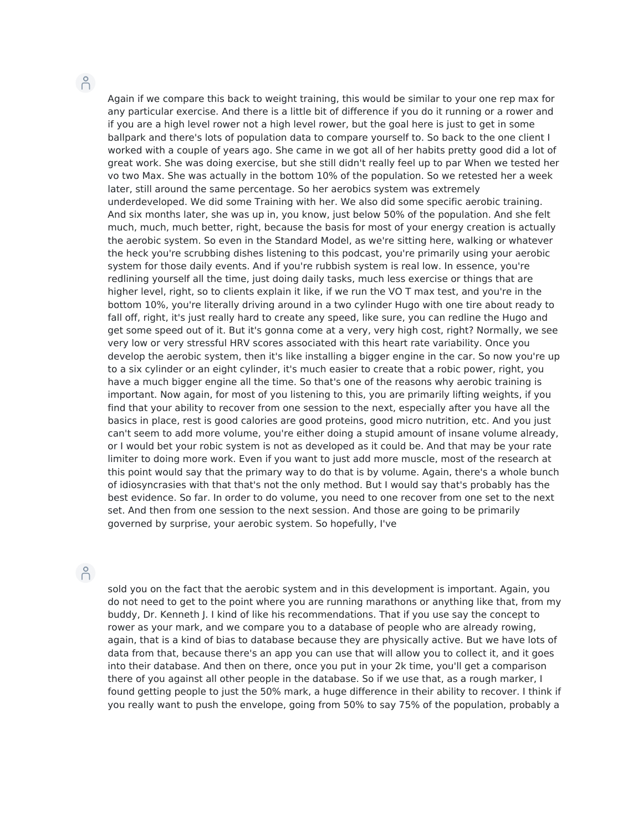Again if we compare this back to weight training, this would be similar to your one rep max for any particular exercise. And there is a little bit of difference if you do it running or a rower and if you are a high level rower not a high level rower, but the goal here is just to get in some ballpark and there's lots of population data to compare yourself to. So back to the one client I worked with a couple of years ago. She came in we got all of her habits pretty good did a lot of great work. She was doing exercise, but she still didn't really feel up to par When we tested her vo two Max. She was actually in the bottom 10% of the population. So we retested her a week later, still around the same percentage. So her aerobics system was extremely underdeveloped. We did some Training with her. We also did some specific aerobic training. And six months later, she was up in, you know, just below 50% of the population. And she felt much, much, much better, right, because the basis for most of your energy creation is actually the aerobic system. So even in the Standard Model, as we're sitting here, walking or whatever the heck you're scrubbing dishes listening to this podcast, you're primarily using your aerobic system for those daily events. And if you're rubbish system is real low. In essence, you're redlining yourself all the time, just doing daily tasks, much less exercise or things that are higher level, right, so to clients explain it like, if we run the VO T max test, and you're in the bottom 10%, you're literally driving around in a two cylinder Hugo with one tire about ready to fall off, right, it's just really hard to create any speed, like sure, you can redline the Hugo and get some speed out of it. But it's gonna come at a very, very high cost, right? Normally, we see very low or very stressful HRV scores associated with this heart rate variability. Once you develop the aerobic system, then it's like installing a bigger engine in the car. So now you're up to a six cylinder or an eight cylinder, it's much easier to create that a robic power, right, you have a much bigger engine all the time. So that's one of the reasons why aerobic training is important. Now again, for most of you listening to this, you are primarily lifting weights, if you find that your ability to recover from one session to the next, especially after you have all the basics in place, rest is good calories are good proteins, good micro nutrition, etc. And you just can't seem to add more volume, you're either doing a stupid amount of insane volume already, or I would bet your robic system is not as developed as it could be. And that may be your rate limiter to doing more work. Even if you want to just add more muscle, most of the research at this point would say that the primary way to do that is by volume. Again, there's a whole bunch of idiosyncrasies with that that's not the only method. But I would say that's probably has the best evidence. So far. In order to do volume, you need to one recover from one set to the next set. And then from one session to the next session. And those are going to be primarily governed by surprise, your aerobic system. So hopefully, I've

#### $\beta$

 $\beta$ 

sold you on the fact that the aerobic system and in this development is important. Again, you do not need to get to the point where you are running marathons or anything like that, from my buddy, Dr. Kenneth J. I kind of like his recommendations. That if you use say the concept to rower as your mark, and we compare you to a database of people who are already rowing, again, that is a kind of bias to database because they are physically active. But we have lots of data from that, because there's an app you can use that will allow you to collect it, and it goes into their database. And then on there, once you put in your 2k time, you'll get a comparison there of you against all other people in the database. So if we use that, as a rough marker, I found getting people to just the 50% mark, a huge difference in their ability to recover. I think if you really want to push the envelope, going from 50% to say 75% of the population, probably a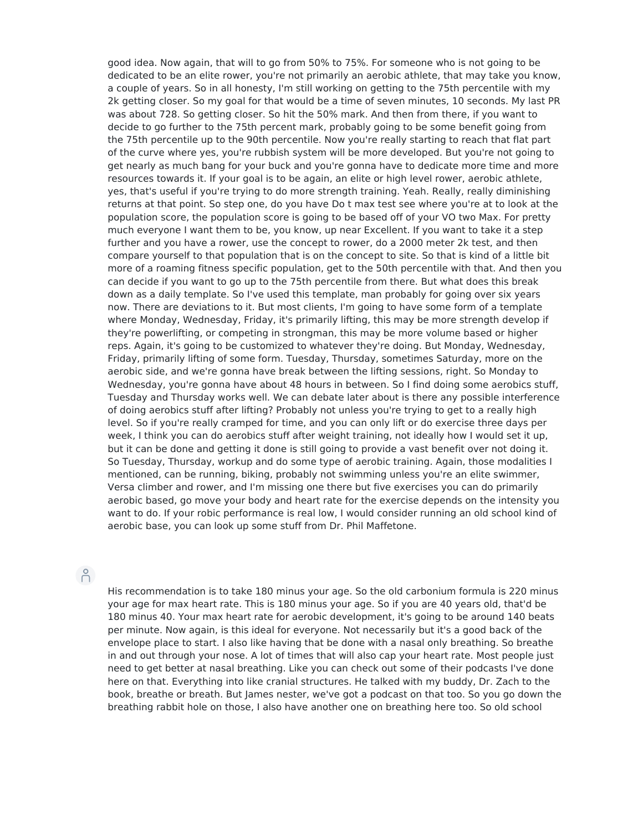good idea. Now again, that will to go from 50% to 75%. For someone who is not going to be dedicated to be an elite rower, you're not primarily an aerobic athlete, that may take you know, a couple of years. So in all honesty, I'm still working on getting to the 75th percentile with my 2k getting closer. So my goal for that would be a time of seven minutes, 10 seconds. My last PR was about 728. So getting closer. So hit the 50% mark. And then from there, if you want to decide to go further to the 75th percent mark, probably going to be some benefit going from the 75th percentile up to the 90th percentile. Now you're really starting to reach that flat part of the curve where yes, you're rubbish system will be more developed. But you're not going to get nearly as much bang for your buck and you're gonna have to dedicate more time and more resources towards it. If your goal is to be again, an elite or high level rower, aerobic athlete, yes, that's useful if you're trying to do more strength training. Yeah. Really, really diminishing returns at that point. So step one, do you have Do t max test see where you're at to look at the population score, the population score is going to be based off of your VO two Max. For pretty much everyone I want them to be, you know, up near Excellent. If you want to take it a step further and you have a rower, use the concept to rower, do a 2000 meter 2k test, and then compare yourself to that population that is on the concept to site. So that is kind of a little bit more of a roaming fitness specific population, get to the 50th percentile with that. And then you can decide if you want to go up to the 75th percentile from there. But what does this break down as a daily template. So I've used this template, man probably for going over six years now. There are deviations to it. But most clients, I'm going to have some form of a template where Monday, Wednesday, Friday, it's primarily lifting, this may be more strength develop if they're powerlifting, or competing in strongman, this may be more volume based or higher reps. Again, it's going to be customized to whatever they're doing. But Monday, Wednesday, Friday, primarily lifting of some form. Tuesday, Thursday, sometimes Saturday, more on the aerobic side, and we're gonna have break between the lifting sessions, right. So Monday to Wednesday, you're gonna have about 48 hours in between. So I find doing some aerobics stuff, Tuesday and Thursday works well. We can debate later about is there any possible interference of doing aerobics stuff after lifting? Probably not unless you're trying to get to a really high level. So if you're really cramped for time, and you can only lift or do exercise three days per week, I think you can do aerobics stuff after weight training, not ideally how I would set it up, but it can be done and getting it done is still going to provide a vast benefit over not doing it. So Tuesday, Thursday, workup and do some type of aerobic training. Again, those modalities I mentioned, can be running, biking, probably not swimming unless you're an elite swimmer, Versa climber and rower, and I'm missing one there but five exercises you can do primarily aerobic based, go move your body and heart rate for the exercise depends on the intensity you want to do. If your robic performance is real low, I would consider running an old school kind of aerobic base, you can look up some stuff from Dr. Phil Maffetone.

#### $\beta$

His recommendation is to take 180 minus your age. So the old carbonium formula is 220 minus your age for max heart rate. This is 180 minus your age. So if you are 40 years old, that'd be 180 minus 40. Your max heart rate for aerobic development, it's going to be around 140 beats per minute. Now again, is this ideal for everyone. Not necessarily but it's a good back of the envelope place to start. I also like having that be done with a nasal only breathing. So breathe in and out through your nose. A lot of times that will also cap your heart rate. Most people just need to get better at nasal breathing. Like you can check out some of their podcasts I've done here on that. Everything into like cranial structures. He talked with my buddy, Dr. Zach to the book, breathe or breath. But James nester, we've got a podcast on that too. So you go down the breathing rabbit hole on those, I also have another one on breathing here too. So old school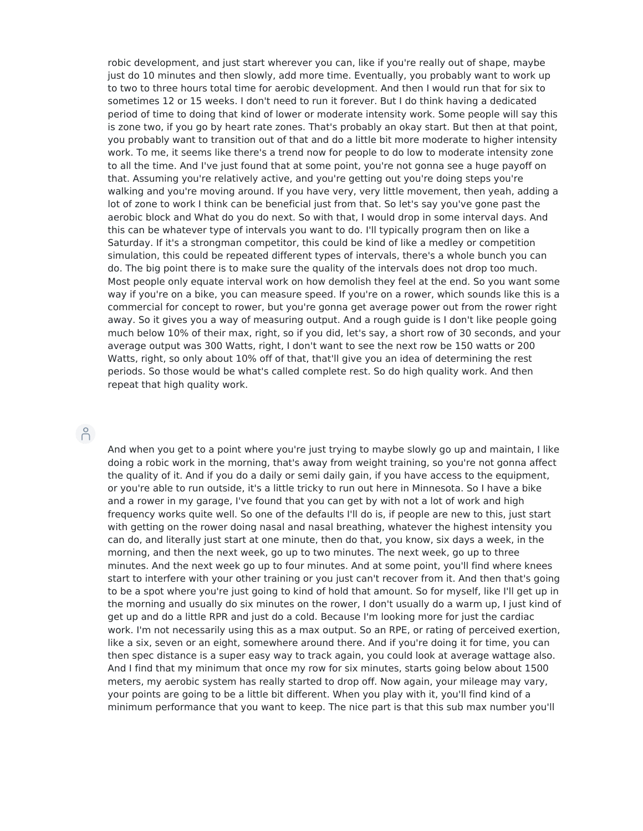robic development, and just start wherever you can, like if you're really out of shape, maybe just do 10 minutes and then slowly, add more time. Eventually, you probably want to work up to two to three hours total time for aerobic development. And then I would run that for six to sometimes 12 or 15 weeks. I don't need to run it forever. But I do think having a dedicated period of time to doing that kind of lower or moderate intensity work. Some people will say this is zone two, if you go by heart rate zones. That's probably an okay start. But then at that point, you probably want to transition out of that and do a little bit more moderate to higher intensity work. To me, it seems like there's a trend now for people to do low to moderate intensity zone to all the time. And I've just found that at some point, you're not gonna see a huge payoff on that. Assuming you're relatively active, and you're getting out you're doing steps you're walking and you're moving around. If you have very, very little movement, then yeah, adding a lot of zone to work I think can be beneficial just from that. So let's say you've gone past the aerobic block and What do you do next. So with that, I would drop in some interval days. And this can be whatever type of intervals you want to do. I'll typically program then on like a Saturday. If it's a strongman competitor, this could be kind of like a medley or competition simulation, this could be repeated different types of intervals, there's a whole bunch you can do. The big point there is to make sure the quality of the intervals does not drop too much. Most people only equate interval work on how demolish they feel at the end. So you want some way if you're on a bike, you can measure speed. If you're on a rower, which sounds like this is a commercial for concept to rower, but you're gonna get average power out from the rower right away. So it gives you a way of measuring output. And a rough guide is I don't like people going much below 10% of their max, right, so if you did, let's say, a short row of 30 seconds, and your average output was 300 Watts, right, I don't want to see the next row be 150 watts or 200 Watts, right, so only about 10% off of that, that'll give you an idea of determining the rest periods. So those would be what's called complete rest. So do high quality work. And then repeat that high quality work.

#### $\beta$

And when you get to a point where you're just trying to maybe slowly go up and maintain, I like doing a robic work in the morning, that's away from weight training, so you're not gonna affect the quality of it. And if you do a daily or semi daily gain, if you have access to the equipment, or you're able to run outside, it's a little tricky to run out here in Minnesota. So I have a bike and a rower in my garage, I've found that you can get by with not a lot of work and high frequency works quite well. So one of the defaults I'll do is, if people are new to this, just start with getting on the rower doing nasal and nasal breathing, whatever the highest intensity you can do, and literally just start at one minute, then do that, you know, six days a week, in the morning, and then the next week, go up to two minutes. The next week, go up to three minutes. And the next week go up to four minutes. And at some point, you'll find where knees start to interfere with your other training or you just can't recover from it. And then that's going to be a spot where you're just going to kind of hold that amount. So for myself, like I'll get up in the morning and usually do six minutes on the rower, I don't usually do a warm up, I just kind of get up and do a little RPR and just do a cold. Because I'm looking more for just the cardiac work. I'm not necessarily using this as a max output. So an RPE, or rating of perceived exertion, like a six, seven or an eight, somewhere around there. And if you're doing it for time, you can then spec distance is a super easy way to track again, you could look at average wattage also. And I find that my minimum that once my row for six minutes, starts going below about 1500 meters, my aerobic system has really started to drop off. Now again, your mileage may vary, your points are going to be a little bit different. When you play with it, you'll find kind of a minimum performance that you want to keep. The nice part is that this sub max number you'll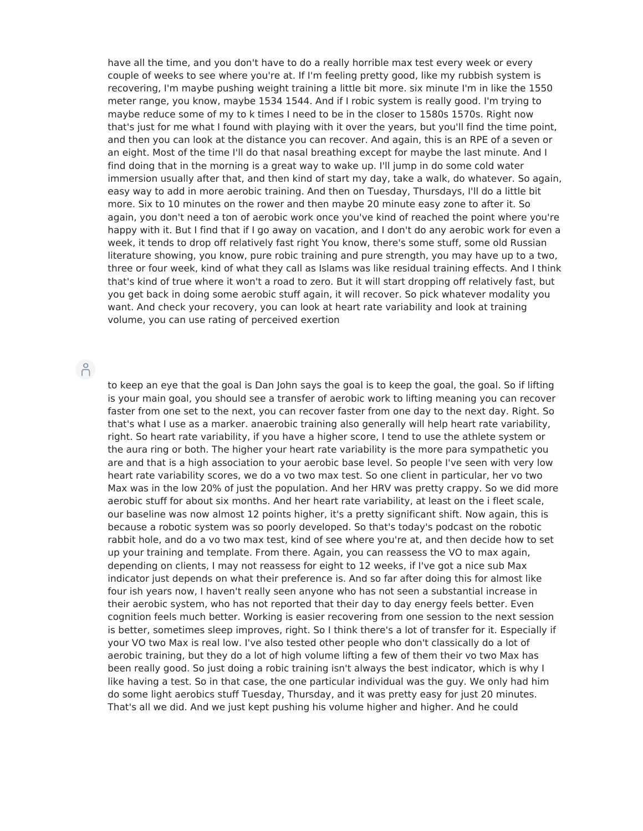have all the time, and you don't have to do a really horrible max test every week or every couple of weeks to see where you're at. If I'm feeling pretty good, like my rubbish system is recovering, I'm maybe pushing weight training a little bit more. six minute I'm in like the 1550 meter range, you know, maybe 1534 1544. And if I robic system is really good. I'm trying to maybe reduce some of my to k times I need to be in the closer to 1580s 1570s. Right now that's just for me what I found with playing with it over the years, but you'll find the time point, and then you can look at the distance you can recover. And again, this is an RPE of a seven or an eight. Most of the time I'll do that nasal breathing except for maybe the last minute. And I find doing that in the morning is a great way to wake up. I'll jump in do some cold water immersion usually after that, and then kind of start my day, take a walk, do whatever. So again, easy way to add in more aerobic training. And then on Tuesday, Thursdays, I'll do a little bit more. Six to 10 minutes on the rower and then maybe 20 minute easy zone to after it. So again, you don't need a ton of aerobic work once you've kind of reached the point where you're happy with it. But I find that if I go away on vacation, and I don't do any aerobic work for even a week, it tends to drop off relatively fast right You know, there's some stuff, some old Russian literature showing, you know, pure robic training and pure strength, you may have up to a two, three or four week, kind of what they call as Islams was like residual training effects. And I think that's kind of true where it won't a road to zero. But it will start dropping off relatively fast, but you get back in doing some aerobic stuff again, it will recover. So pick whatever modality you want. And check your recovery, you can look at heart rate variability and look at training volume, you can use rating of perceived exertion

 $\beta$ 

to keep an eye that the goal is Dan John says the goal is to keep the goal, the goal. So if lifting is your main goal, you should see a transfer of aerobic work to lifting meaning you can recover faster from one set to the next, you can recover faster from one day to the next day. Right. So that's what I use as a marker. anaerobic training also generally will help heart rate variability, right. So heart rate variability, if you have a higher score, I tend to use the athlete system or the aura ring or both. The higher your heart rate variability is the more para sympathetic you are and that is a high association to your aerobic base level. So people I've seen with very low heart rate variability scores, we do a vo two max test. So one client in particular, her vo two Max was in the low 20% of just the population. And her HRV was pretty crappy. So we did more aerobic stuff for about six months. And her heart rate variability, at least on the i fleet scale, our baseline was now almost 12 points higher, it's a pretty significant shift. Now again, this is because a robotic system was so poorly developed. So that's today's podcast on the robotic rabbit hole, and do a vo two max test, kind of see where you're at, and then decide how to set up your training and template. From there. Again, you can reassess the VO to max again, depending on clients, I may not reassess for eight to 12 weeks, if I've got a nice sub Max indicator just depends on what their preference is. And so far after doing this for almost like four ish years now, I haven't really seen anyone who has not seen a substantial increase in their aerobic system, who has not reported that their day to day energy feels better. Even cognition feels much better. Working is easier recovering from one session to the next session is better, sometimes sleep improves, right. So I think there's a lot of transfer for it. Especially if your VO two Max is real low. I've also tested other people who don't classically do a lot of aerobic training, but they do a lot of high volume lifting a few of them their vo two Max has been really good. So just doing a robic training isn't always the best indicator, which is why I like having a test. So in that case, the one particular individual was the guy. We only had him do some light aerobics stuff Tuesday, Thursday, and it was pretty easy for just 20 minutes. That's all we did. And we just kept pushing his volume higher and higher. And he could